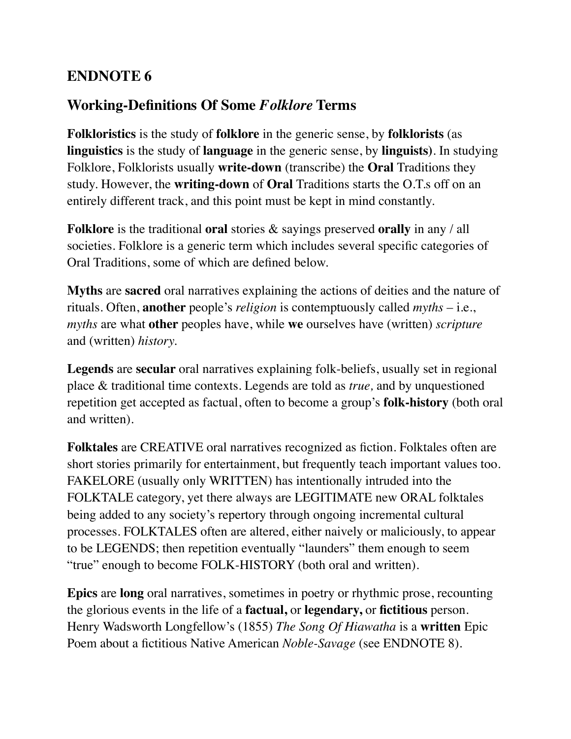## **ENDNOTE 6**

## **Working-Definitions Of Some** *Folklore* **Terms**

**Folkloristics** is the study of **folklore** in the generic sense, by **folklorists** (as **linguistics** is the study of **language** in the generic sense, by **linguists)**. In studying Folklore, Folklorists usually **write-down** (transcribe) the **Oral** Traditions they study. However, the **writing-down** of **Oral** Traditions starts the O.T.s off on an entirely different track, and this point must be kept in mind constantly.

**Folklore** is the traditional **oral** stories & sayings preserved **orally** in any / all societies. Folklore is a generic term which includes several specific categories of Oral Traditions, some of which are defined below.

**Myths** are **sacred** oral narratives explaining the actions of deities and the nature of rituals. Often, **another** people's *religion* is contemptuously called *myths* – i.e., *myths* are what **other** peoples have, while **we** ourselves have (written) *scripture*  and (written) *history.*

**Legends** are **secular** oral narratives explaining folk-beliefs, usually set in regional place & traditional time contexts. Legends are told as *true,* and by unquestioned repetition get accepted as factual, often to become a group's **folk-history** (both oral and written).

**Folktales** are CREATIVE oral narratives recognized as fiction. Folktales often are short stories primarily for entertainment, but frequently teach important values too. FAKELORE (usually only WRITTEN) has intentionally intruded into the FOLKTALE category, yet there always are LEGITIMATE new ORAL folktales being added to any society's repertory through ongoing incremental cultural processes. FOLKTALES often are altered, either naively or maliciously, to appear to be LEGENDS; then repetition eventually "launders" them enough to seem "true" enough to become FOLK-HISTORY (both oral and written).

**Epics** are **long** oral narratives, sometimes in poetry or rhythmic prose, recounting the glorious events in the life of a **factual,** or **legendary,** or **fictitious** person. Henry Wadsworth Longfellow's (1855) *The Song Of Hiawatha* is a **written** Epic Poem about a fictitious Native American *Noble-Savage* (see ENDNOTE 8).